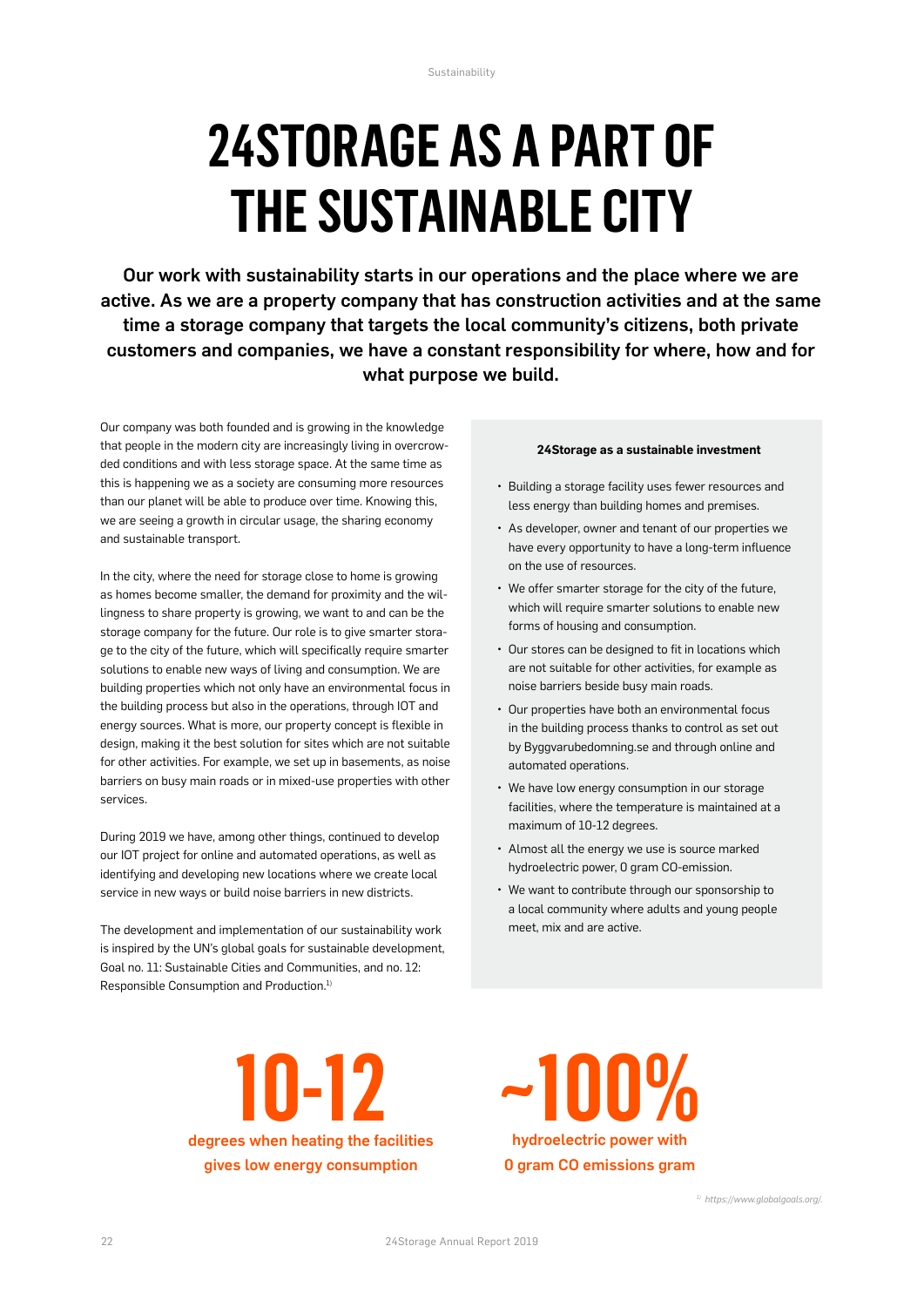# **24STORAGE AS A PART OF THE SUSTAINABLE CITY**

Our work with sustainability starts in our operations and the place where we are active. As we are a property company that has construction activities and at the same time a storage company that targets the local community's citizens, both private customers and companies, we have a constant responsibility for where, how and for what purpose we build.

Our company was both founded and is growing in the knowledge that people in the modern city are increasingly living in overcrowded conditions and with less storage space. At the same time as this is happening we as a society are consuming more resources than our planet will be able to produce over time. Knowing this, we are seeing a growth in circular usage, the sharing economy and sustainable transport.

In the city, where the need for storage close to home is growing as homes become smaller, the demand for proximity and the willingness to share property is growing, we want to and can be the storage company for the future. Our role is to give smarter storage to the city of the future, which will specifically require smarter solutions to enable new ways of living and consumption. We are building properties which not only have an environmental focus in the building process but also in the operations, through IOT and energy sources. What is more, our property concept is flexible in design, making it the best solution for sites which are not suitable for other activities. For example, we set up in basements, as noise barriers on busy main roads or in mixed-use properties with other services.

During 2019 we have, among other things, continued to develop our IOT project for online and automated operations, as well as identifying and developing new locations where we create local service in new ways or build noise barriers in new districts.

The development and implementation of our sustainability work is inspired by the UN's global goals for sustainable development, Goal no. 11: Sustainable Cities and Communities, and no. 12: Responsible Consumption and Production.1)

# **24Storage as a sustainable investment**

- Building a storage facility uses fewer resources and less energy than building homes and premises.
- As developer, owner and tenant of our properties we have every opportunity to have a long-term influence on the use of resources.
- We offer smarter storage for the city of the future, which will require smarter solutions to enable new forms of housing and consumption.
- Our stores can be designed to fit in locations which are not suitable for other activities, for example as noise barriers beside busy main roads.
- Our properties have both an environmental focus in the building process thanks to control as set out by Byggvarubedomning.se and through online and automated operations.
- We have low energy consumption in our storage facilities, where the temperature is maintained at a maximum of 10-12 degrees.
- Almost all the energy we use is source marked hydroelectric power, 0 gram CO-emission.
- We want to contribute through our sponsorship to a local community where adults and young people meet, mix and are active.

**10-12** degrees when heating the facilities gives low energy consumption

**~100%** hydroelectric power with 0 gram CO emissions gram

*1) https://www.globalgoals.org/.*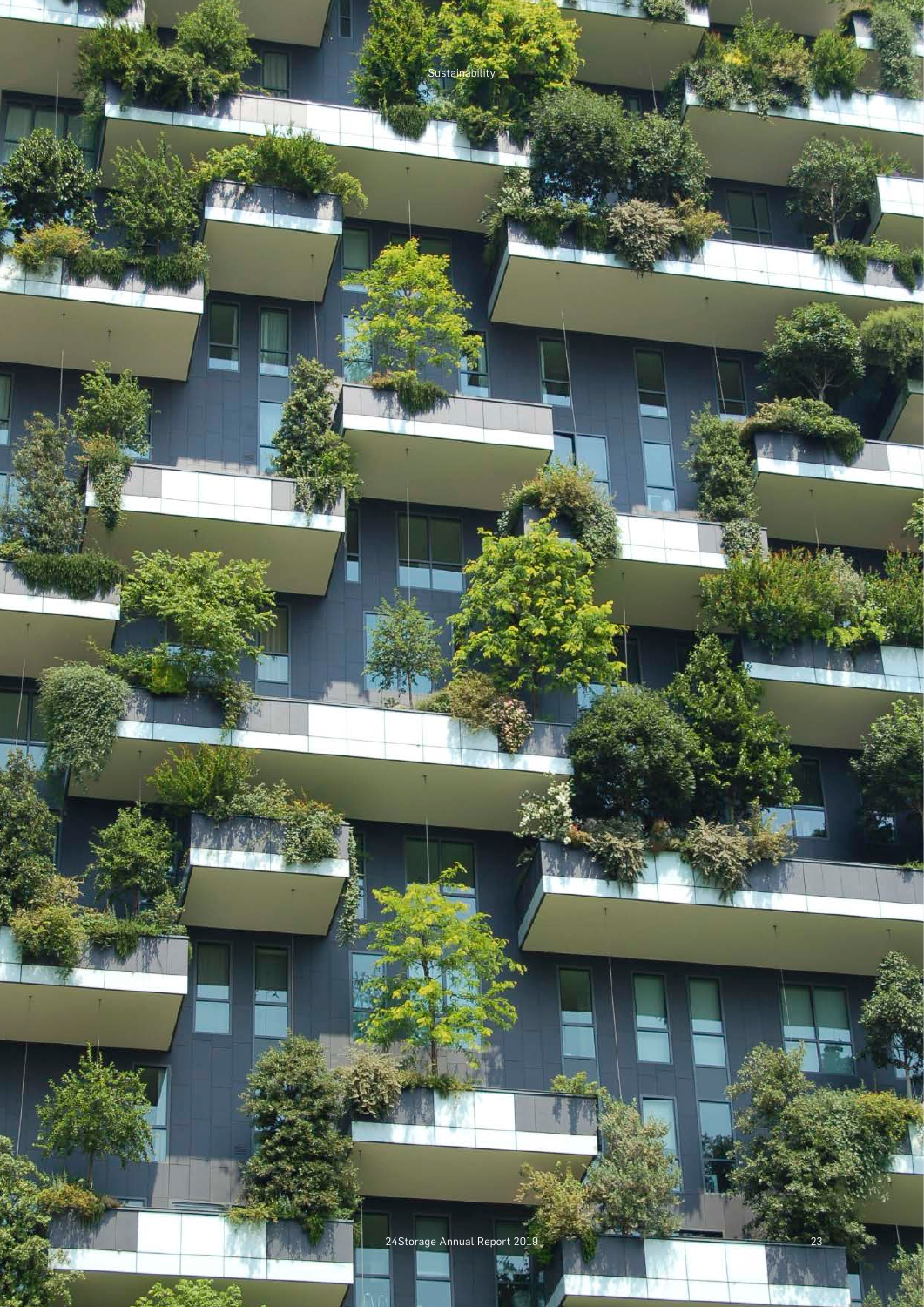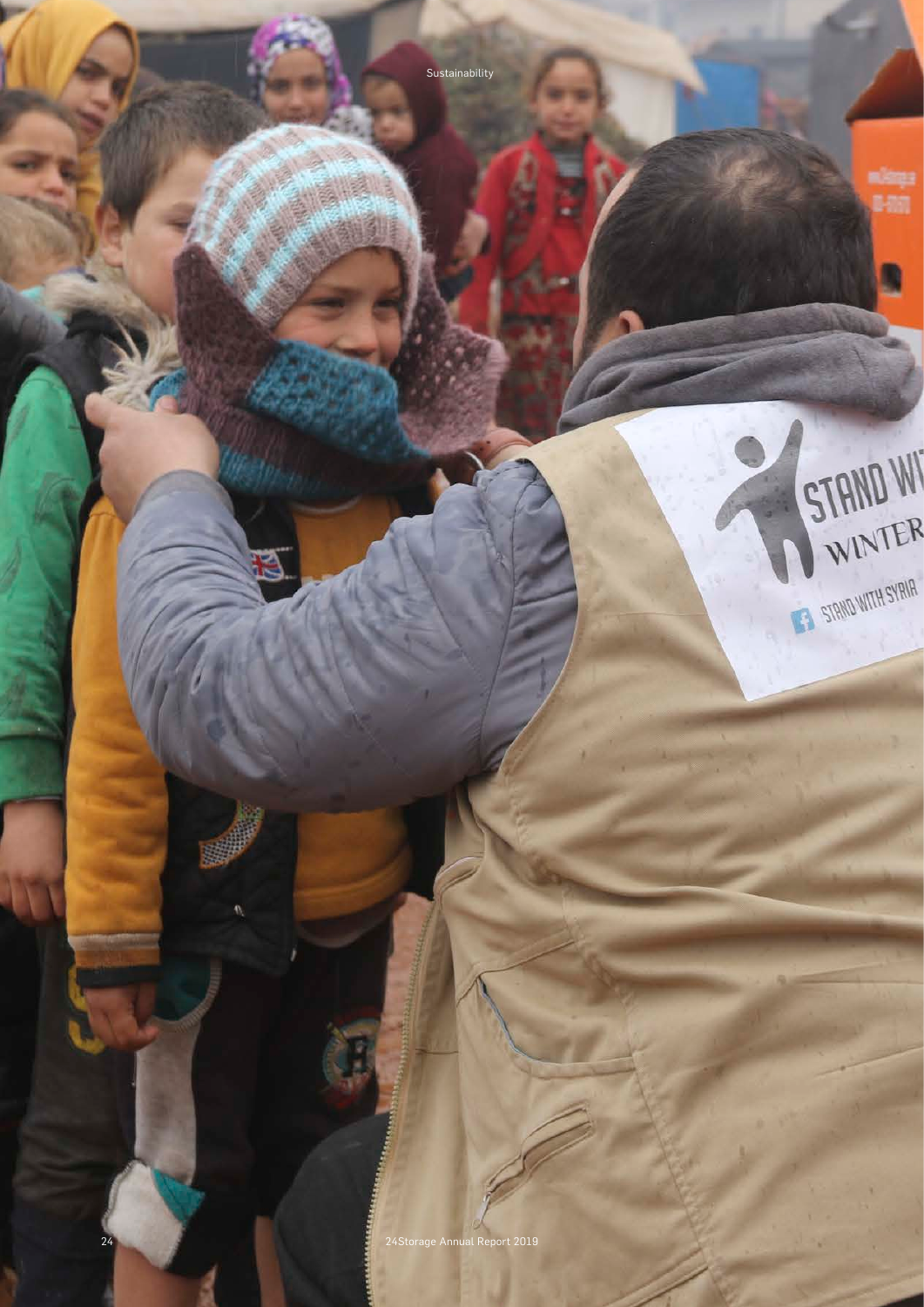